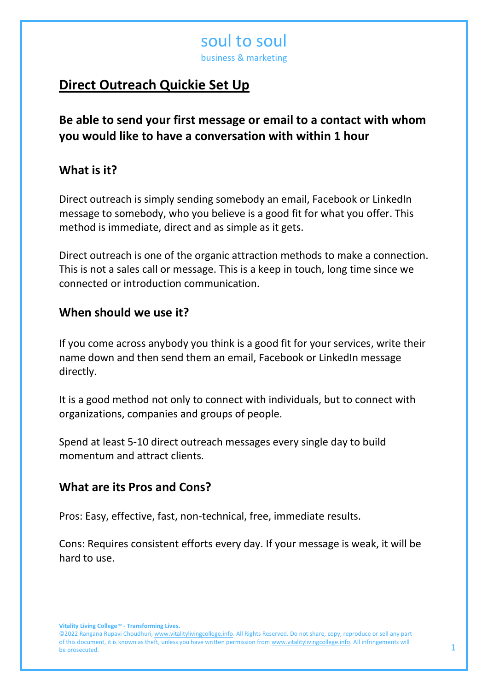business & marketing

## **Direct Outreach Quickie Set Up**

**Be able to send your first message or email to a contact with whom you would like to have a conversation with within 1 hour**

#### **What is it?**

Direct outreach is simply sending somebody an email, Facebook or LinkedIn message to somebody, who you believe is a good fit for what you offer. This method is immediate, direct and as simple as it gets.

Direct outreach is one of the organic attraction methods to make a connection. This is not a sales call or message. This is a keep in touch, long time since we connected or introduction communication.

#### **When should we use it?**

If you come across anybody you think is a good fit for your services, write their name down and then send them an email, Facebook or LinkedIn message directly.

It is a good method not only to connect with individuals, but to connect with organizations, companies and groups of people.

Spend at least 5-10 direct outreach messages every single day to build momentum and attract clients.

#### **What are its Pros and Cons?**

Pros: Easy, effective, fast, non-technical, free, immediate results.

Cons: Requires consistent efforts every day. If your message is weak, it will be hard to use.

<sup>©2022</sup> Rangana Rupavi Choudhuri[, www.vitalitylivingcollege.info.](http://www.vitalitylivingcollege.info/) All Rights Reserved. Do not share, copy, reproduce or sell any part of this document, it is known as theft, unless you have written permission from <u>www.vitalitylivingcollege.info</u>. All infringements will **the contrary of the contrary of the contrary of the contrary of the contrary of the**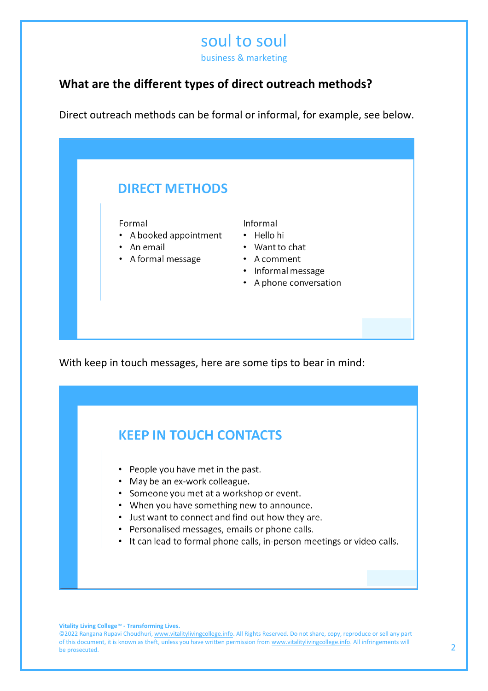business & marketing

### **What are the different types of direct outreach methods?**

Direct outreach methods can be formal or informal, for example, see below.

| <b>DIRECT METHODS</b> | Informal               |
|-----------------------|------------------------|
| Formal                | • Hello hi             |
| A booked appointment  | • Want to chat         |
| $\bullet$             | • A comment            |
| • An email            | • Informal message     |
| • A formal message    | • A phone conversation |

With keep in touch messages, here are some tips to bear in mind:



**Vitality Living College**™ **- Transforming Lives.**

©2022 Rangana Rupavi Choudhuri[, www.vitalitylivingcollege.info.](http://www.vitalitylivingcollege.info/) All Rights Reserved. Do not share, copy, reproduce or sell any part of this document, it is known as theft, unless you have written permission from <u>www.vitalitylivingcollege.info</u>. All infringements will **channel in the system of the system of the system**  $\overline{\textbf{2}}$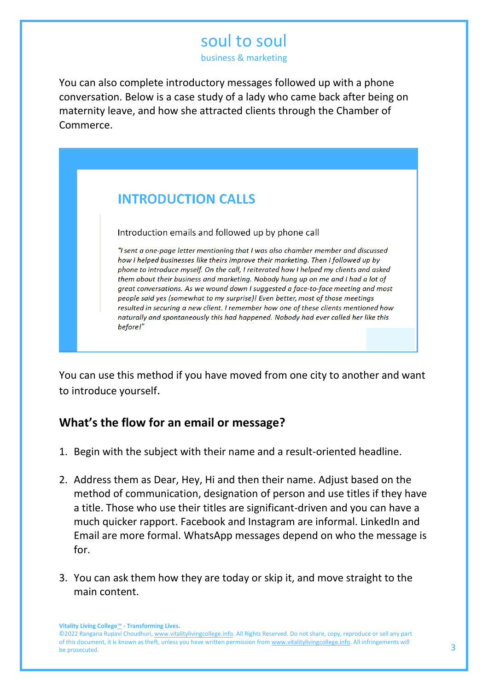business & marketing

You can also complete introductory messages followed up with a phone conversation. Below is a case study of a lady who came back after being on maternity leave, and how she attracted clients through the Chamber of Commerce.

## **INTRODUCTION CALLS**

Introduction emails and followed up by phone call

"I sent a one-page letter mentioning that I was also chamber member and discussed how I helped businesses like theirs improve their marketing. Then I followed up by phone to introduce myself. On the call, I reiterated how I helped my clients and asked them about their business and marketing. Nobody hung up on me and I had a lot of great conversations. As we wound down I suggested a face-to-face meeting and most people said yes (somewhat to my surprise)! Even better, most of those meetings resulted in securing a new client. I remember how one of these clients mentioned how naturally and spontaneously this had happened. Nobody had ever called her like this before!"

You can use this method if you have moved from one city to another and want to introduce yourself.

#### **What's the flow for an email or message?**

- 1. Begin with the subject with their name and a result-oriented headline.
- 2. Address them as Dear, Hey, Hi and then their name. Adjust based on the method of communication, designation of person and use titles if they have a title. Those who use their titles are significant-driven and you can have a much quicker rapport. Facebook and Instagram are informal. LinkedIn and Email are more formal. WhatsApp messages depend on who the message is for.
- 3. You can ask them how they are today or skip it, and move straight to the main content.

**Vitality Living College**™ **- Transforming Lives.**

©2022 Rangana Rupavi Choudhuri[, www.vitalitylivingcollege.info.](http://www.vitalitylivingcollege.info/) All Rights Reserved. Do not share, copy, reproduce or sell any part of this document, it is known as theft, unless you have written permission from <u>www.vitalitylivingcollege.info</u>. All infringements will **SALL CONT CONT (2008)**<br>be prosecuted.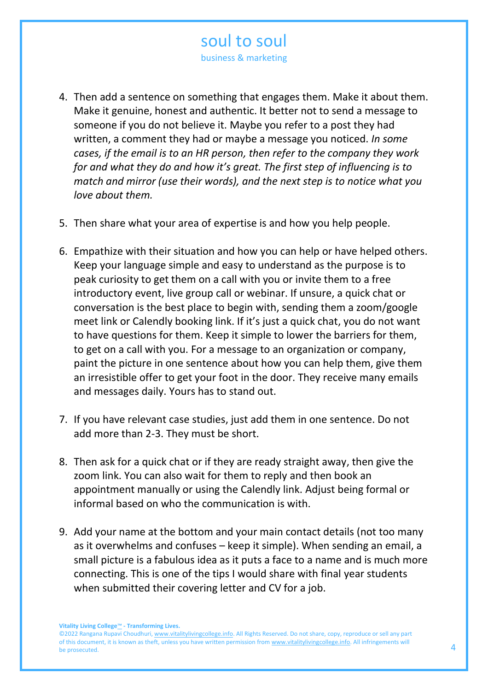business & marketing

- 4. Then add a sentence on something that engages them. Make it about them. Make it genuine, honest and authentic. It better not to send a message to someone if you do not believe it. Maybe you refer to a post they had written, a comment they had or maybe a message you noticed. *In some cases, if the email is to an HR person, then refer to the company they work for and what they do and how it's great. The first step of influencing is to match and mirror (use their words), and the next step is to notice what you love about them.*
- 5. Then share what your area of expertise is and how you help people.
- 6. Empathize with their situation and how you can help or have helped others. Keep your language simple and easy to understand as the purpose is to peak curiosity to get them on a call with you or invite them to a free introductory event, live group call or webinar. If unsure, a quick chat or conversation is the best place to begin with, sending them a zoom/google meet link or Calendly booking link. If it's just a quick chat, you do not want to have questions for them. Keep it simple to lower the barriers for them, to get on a call with you. For a message to an organization or company, paint the picture in one sentence about how you can help them, give them an irresistible offer to get your foot in the door. They receive many emails and messages daily. Yours has to stand out.
- 7. If you have relevant case studies, just add them in one sentence. Do not add more than 2-3. They must be short.
- 8. Then ask for a quick chat or if they are ready straight away, then give the zoom link. You can also wait for them to reply and then book an appointment manually or using the Calendly link. Adjust being formal or informal based on who the communication is with.
- 9. Add your name at the bottom and your main contact details (not too many as it overwhelms and confuses – keep it simple). When sending an email, a small picture is a fabulous idea as it puts a face to a name and is much more connecting. This is one of the tips I would share with final year students when submitted their covering letter and CV for a job.

<sup>©2022</sup> Rangana Rupavi Choudhuri[, www.vitalitylivingcollege.info.](http://www.vitalitylivingcollege.info/) All Rights Reserved. Do not share, copy, reproduce or sell any part of this document, it is known as theft, unless you have written permission from <u>www.vitalitylivingcollege.info</u>. All infringements will **AUC 2006** 4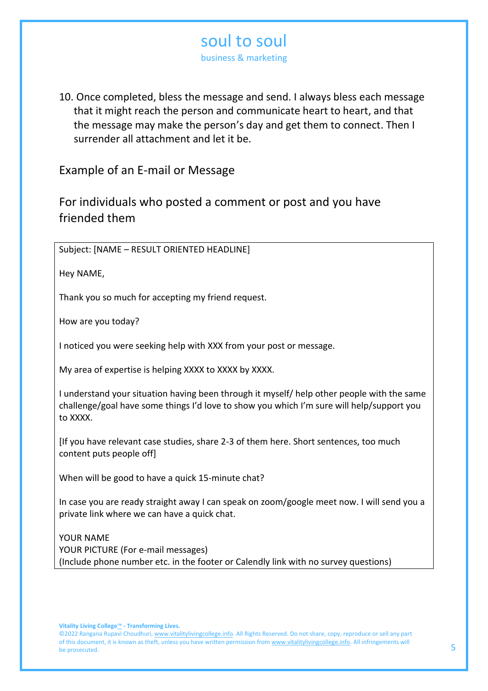business & marketing

10. Once completed, bless the message and send. I always bless each message that it might reach the person and communicate heart to heart, and that the message may make the person's day and get them to connect. Then I surrender all attachment and let it be.

Example of an E-mail or Message

For individuals who posted a comment or post and you have friended them

Subject: [NAME – RESULT ORIENTED HEADLINE]

Hey NAME,

Thank you so much for accepting my friend request.

How are you today?

I noticed you were seeking help with XXX from your post or message.

My area of expertise is helping XXXX to XXXX by XXXX.

I understand your situation having been through it myself/ help other people with the same challenge/goal have some things I'd love to show you which I'm sure will help/support you to XXXX.

[If you have relevant case studies, share 2-3 of them here. Short sentences, too much content puts people off]

When will be good to have a quick 15-minute chat?

In case you are ready straight away I can speak on zoom/google meet now. I will send you a private link where we can have a quick chat.

YOUR NAME YOUR PICTURE (For e-mail messages) (Include phone number etc. in the footer or Calendly link with no survey questions)

**Vitality Living College**™ **- Transforming Lives.**

©2022 Rangana Rupavi Choudhuri[, www.vitalitylivingcollege.info.](http://www.vitalitylivingcollege.info/) All Rights Reserved. Do not share, copy, reproduce or sell any part of this document, it is known as theft, unless you have written permission from <u>www.vitalitylivingcollege.info</u>. All infringements will **SULF 2006**<br>Be prosecuted.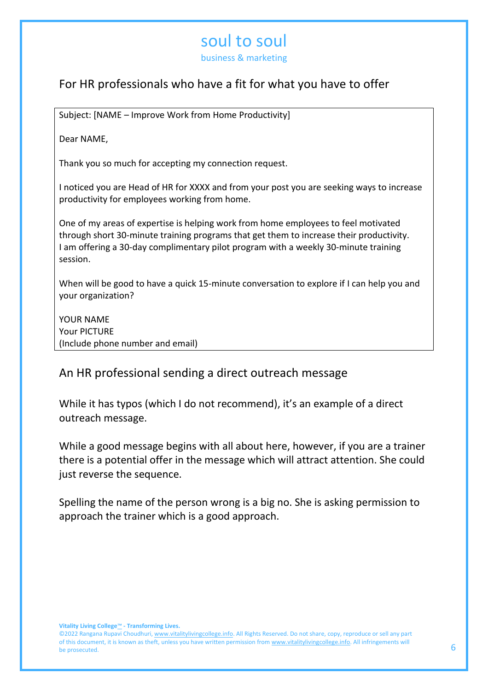business & marketing

#### For HR professionals who have a fit for what you have to offer

Subject: [NAME – Improve Work from Home Productivity]

Dear NAME,

Thank you so much for accepting my connection request.

I noticed you are Head of HR for XXXX and from your post you are seeking ways to increase productivity for employees working from home.

One of my areas of expertise is helping work from home employees to feel motivated through short 30-minute training programs that get them to increase their productivity. I am offering a 30-day complimentary pilot program with a weekly 30-minute training session.

When will be good to have a quick 15-minute conversation to explore if I can help you and your organization?

YOUR NAME Your PICTURE (Include phone number and email)

#### An HR professional sending a direct outreach message

While it has typos (which I do not recommend), it's an example of a direct outreach message.

While a good message begins with all about here, however, if you are a trainer there is a potential offer in the message which will attract attention. She could just reverse the sequence.

Spelling the name of the person wrong is a big no. She is asking permission to approach the trainer which is a good approach.

<sup>©2022</sup> Rangana Rupavi Choudhuri[, www.vitalitylivingcollege.info.](http://www.vitalitylivingcollege.info/) All Rights Reserved. Do not share, copy, reproduce or sell any part of this document, it is known as theft, unless you have written permission from <u>www.vitalitylivingcollege.info</u>. All infringements will **channel in the state of the state of the state** of **c**<br>be prosecuted.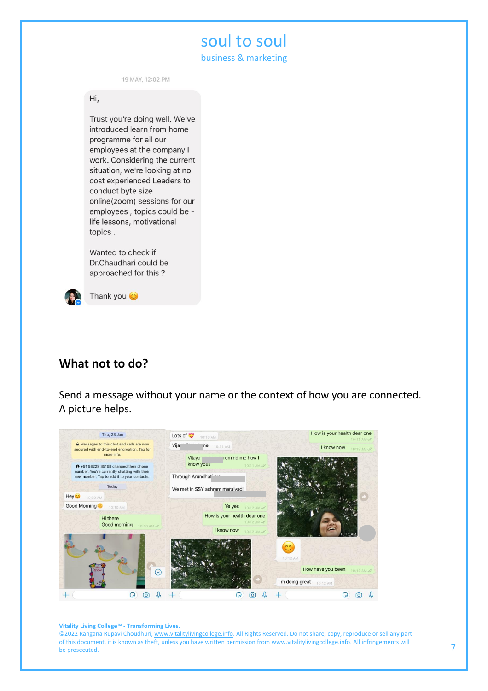business & marketing

19 MAY, 12:02 PM

Hi,

Trust you're doing well. We've introduced learn from home programme for all our employees at the company I work. Considering the current situation, we're looking at no cost experienced Leaders to conduct byte size online(zoom) sessions for our employees, topics could be life lessons, motivational topics.

Wanted to check if Dr.Chaudhari could be approached for this?



Thank you

#### **What not to do?**

Send a message without your name or the context of how you are connected. A picture helps.



#### **Vitality Living College**™ **- Transforming Lives.**

©2022 Rangana Rupavi Choudhuri[, www.vitalitylivingcollege.info.](http://www.vitalitylivingcollege.info/) All Rights Reserved. Do not share, copy, reproduce or sell any part of this document, it is known as theft, unless you have written permission from <u>www.vitalitylivingcollege.info</u>. All infringements will **channel in the content of the content of the content**<br>be prosecuted.